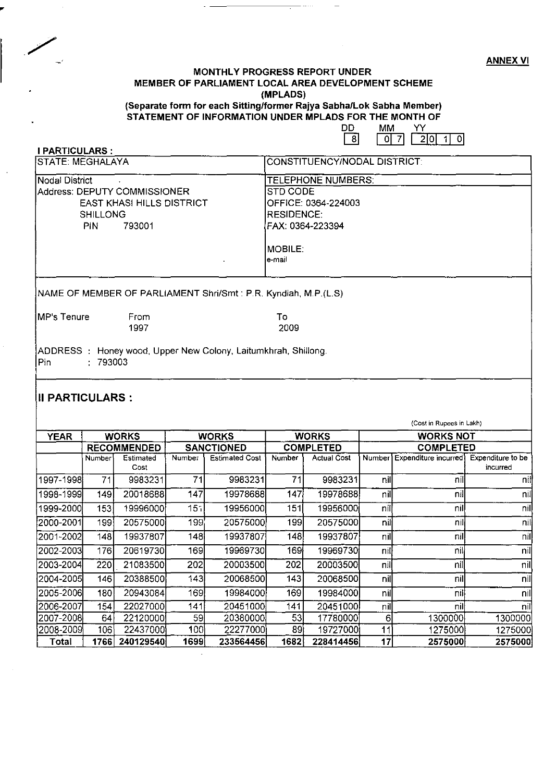ANNEX VI

#### MONTHLY PROGRESS REPORT UNDER MEMBER OF PARLIAMENT LOCAL AREA DEVELOPMENT SCHEME (MPLADS)

. . . . . .

#### (Separate form for each Sitting/former Rajya Sabha/Lok Sabha Member) STATEMENT OF INFORMATION UNDER MPLADS FOR THE MONTH OF MM YY

|                                                 |                                                                            | ັບ<br><b>IVHVI</b><br>. .<br>- 8 <br>7<br>$2 0 $ 1<br>οI                                                                            |
|-------------------------------------------------|----------------------------------------------------------------------------|-------------------------------------------------------------------------------------------------------------------------------------|
| <b>I PARTICULARS:</b>                           |                                                                            |                                                                                                                                     |
| <b>STATE: MEGHALAYA</b>                         |                                                                            | <b>CONSTITUENCY/NODAL DISTRICT:</b>                                                                                                 |
| Nodal District<br><b>SHILLONG</b><br><b>PIN</b> | Address: DEPUTY COMMISSIONER<br><b>EAST KHASI HILLS DISTRICT</b><br>793001 | <b>TELEPHONE NUMBERS:</b><br>STD CODE<br>OFFICE: 0364-224003<br><b>RESIDENCE:</b><br>FAX: 0364-223394<br>$\sf{MOBILE}$ :<br>le-mail |
|                                                 |                                                                            | NAME OF MEMBER OF PARLIAMENT Shri/Smt : P.R. Kyndiah, M.P.(L.S)                                                                     |
| IMP's Tenure                                    | From<br>1997                                                               | Тο<br>2009                                                                                                                          |
| lPin-                                           | ADDRESS: Honey wood, Upper New Colony, Laitumkhrah, Shillong.<br>: 793003  |                                                                                                                                     |
| III PARTICULARS :                               |                                                                            |                                                                                                                                     |
|                                                 |                                                                            | (Cost in Rupees in Lakh)                                                                                                            |

| <b>YEAR</b> |        | <b>WORKS</b>       |                   | <b>WORKS</b>          |        | <b>WORKS</b>       |                  | <b>WORKS NOT</b>     |                   |
|-------------|--------|--------------------|-------------------|-----------------------|--------|--------------------|------------------|----------------------|-------------------|
|             |        | <b>RECOMMENDED</b> | <b>SANCTIONED</b> |                       |        | <b>COMPLETED</b>   | <b>COMPLETED</b> |                      |                   |
|             | Number | Estimated          | <b>Number</b>     | <b>Estimated Cost</b> | Number | <b>Actual Cost</b> | Number           | Expenditure incurred | Expenditure to be |
|             |        | Cost               |                   |                       |        |                    |                  |                      | incurred          |
| 1997-1998   | 71     | 9983231            | 71                | 9983231               | 71     | 9983231            | nill             | nill                 | nil               |
| 1998-1999   | 149    | 20018688           | 147               | 19978688              | 147    | 199786881          | nil              | nil                  | nil               |
| 1999-2000   | 153    | 19996000           | 151               | 19956000              | 151    | 19956000           | nill             | nill                 | nil               |
| 2000-2001   | 199    | 205750001          | 199               | 20575000              | 199    | 20575000           | nill             | nill                 | nil               |
| 2001-2002   | 148    | 19937807           | 148               | 19937807              | 148    | 19937807           | nil              | nil                  | nil               |
| 2002-2003   | 176    | 20619730           | 169               | 19969730              | 169    | 19969730           | nilj             | nil                  | nil               |
| 2003-2004   | 220    | 21083500           | 202               | 20003500              | 202    | 20003500           | nil              | nil                  | nil               |
| 2004-2005   | 146    | 20388500           | 143               | 20068500              | 143    | 20068500           | nill             | nil                  | nil               |
| 2005-2006   | 180    | 20943084           | 169               | 19984000              | 169    | 19984000           | nill             | nill                 | nil               |
| 2006-2007   | 154    | 22027000           | 141               | 20451000              | 141    | 20451000           | nill             | nill                 | nill              |
| 2007-2008   | 64     | 22120000           | 59                | 20380000              | 53     | 17780000           | 61               | 1300000l             | 1300000           |
| 2008-2009   | 106'   | 22437000           | 100)              | 22277000              | 89     | 19727000           | 11               | 12750001             | 1275000           |
| Total       | 1766   | 240129540          | 1699i             | 233564456             | 1682   | 228414456          | 17               | 2575000              | 2575000           |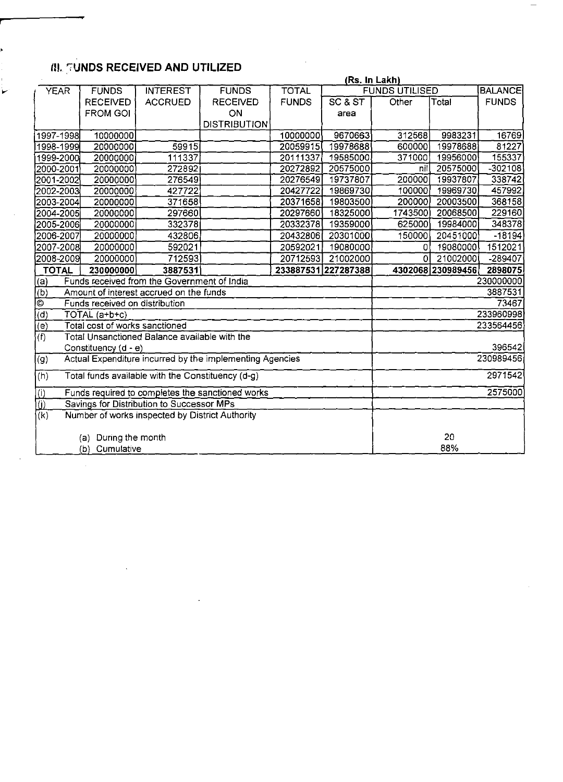# Ill. ';'UNDS **RECEIVED AND UTILIZED**

 $\bar{z}$ 

|                                       |                                                                       |                                               |                     |              |                     | (Rs. In Lakh)         |                   |                |  |
|---------------------------------------|-----------------------------------------------------------------------|-----------------------------------------------|---------------------|--------------|---------------------|-----------------------|-------------------|----------------|--|
| <b>YEAR</b>                           | <b>FUNDS</b>                                                          | <b>INTEREST</b>                               | <b>FUNDS</b>        | <b>TOTAL</b> |                     | <b>FUNDS UTILISED</b> |                   | <b>BALANCE</b> |  |
|                                       | <b>RECEIVED</b>                                                       | <b>ACCRUED</b>                                | <b>RECEIVED</b>     | <b>FUNDS</b> | SC & ST             | Other                 | Total             | <b>FUNDS</b>   |  |
|                                       | <b>FROM GOI</b>                                                       |                                               | ON                  |              | area                |                       |                   |                |  |
|                                       |                                                                       |                                               | <b>DISTRIBUTION</b> |              |                     |                       |                   |                |  |
| 1997-1998                             | 10000000                                                              |                                               |                     | 10000000     | 9670663             | 312568                | 9983231           | 16769          |  |
| 1998-1999                             | 20000000                                                              | 59915                                         |                     | 20059915     | 19978688            | 600000                | 19978688          | 81227          |  |
| 1999-2000                             | 20000000                                                              | 111337                                        |                     | 20111337     | 19585000            | 371000                | 19956000          | 155337         |  |
| 2000-2001                             | 20000000                                                              | 272892                                        |                     | 20272892     | 20575000            | Inil                  | 20575000          | $-302108$      |  |
| 2001-2002                             | 20000000                                                              | 276549                                        |                     | 20276549     | 19737807            | 200000                | 19937807          | 338742         |  |
| 2002-2003                             | 20000000                                                              | 427722                                        |                     | 20427722     | 19869730            | 100000                | 19969730          | 457992         |  |
| 2003-2004                             | 20000000                                                              | 371658                                        |                     | 20371658     | 19803500            | 200000                | 20003500          | 368158         |  |
| 2004-2005                             | 20000000                                                              | 297660                                        |                     | 20297660     | 18325000            | 1743500               | 20068500          | 229160         |  |
| 2005-2006                             | 20000000                                                              | 332378                                        |                     | 20332378     | 19359000            | 625000                | 19984000          | 348378         |  |
| 2006-2007                             | 20000000                                                              | 432806                                        |                     | 20432806     | 20301000            | 150000                | 20451000          | $-18194$       |  |
| 2007-2008                             | 20000000                                                              | 592021                                        |                     | 20592021     | 19080000            | $\Omega$              | 19080000          | 1512021        |  |
| 2008-2009                             | 20000000                                                              | 712593                                        |                     | 20712593     | 21002000            | 0                     | 21002000          | $-289407$      |  |
| <b>TOTAL</b>                          | 230000000                                                             | 3887531                                       |                     |              | 233887531 227287388 |                       | 4302068 230989456 | 2898075        |  |
| <u>(a)</u>                            |                                                                       | Funds received from the Government of India   |                     |              |                     |                       |                   | 230000000      |  |
| $\overline{(b)}$                      |                                                                       | Amount of interest accrued on the funds       |                     |              |                     |                       |                   | 3887531        |  |
| ାତ                                    | Funds received on distribution                                        |                                               |                     |              |                     |                       |                   | 73467          |  |
| (d)                                   | TOTAL (a+b+c)                                                         |                                               |                     |              |                     |                       |                   | 233960998      |  |
| $\overline{(e)}$                      | Total cost of works sanctioned                                        |                                               |                     |              |                     |                       |                   | 233564456      |  |
| $\overline{f}$                        |                                                                       | Total Unsanctioned Balance available with the |                     |              |                     |                       |                   |                |  |
|                                       | Constituency (d - e)                                                  |                                               |                     |              |                     |                       |                   | 396542         |  |
| $\left( 9\right)$                     | Actual Expenditure incurred by the implementing Agencies<br>230989456 |                                               |                     |              |                     |                       |                   |                |  |
| (h)                                   | 2971542<br>Total funds available with the Constituency (d-g)          |                                               |                     |              |                     |                       |                   |                |  |
| $\frac{\overline{10}}{\overline{10}}$ | 2575000<br>Funds required to completes the sanctioned works           |                                               |                     |              |                     |                       |                   |                |  |
|                                       | Savings for Distribution to Successor MPs                             |                                               |                     |              |                     |                       |                   |                |  |
| (k)                                   | Number of works inspected by District Authority                       |                                               |                     |              |                     |                       |                   |                |  |
|                                       | 20<br>(a) During the month                                            |                                               |                     |              |                     |                       |                   |                |  |
|                                       |                                                                       |                                               |                     |              |                     |                       |                   |                |  |
|                                       | 88%<br>(b) Cumulative                                                 |                                               |                     |              |                     |                       |                   |                |  |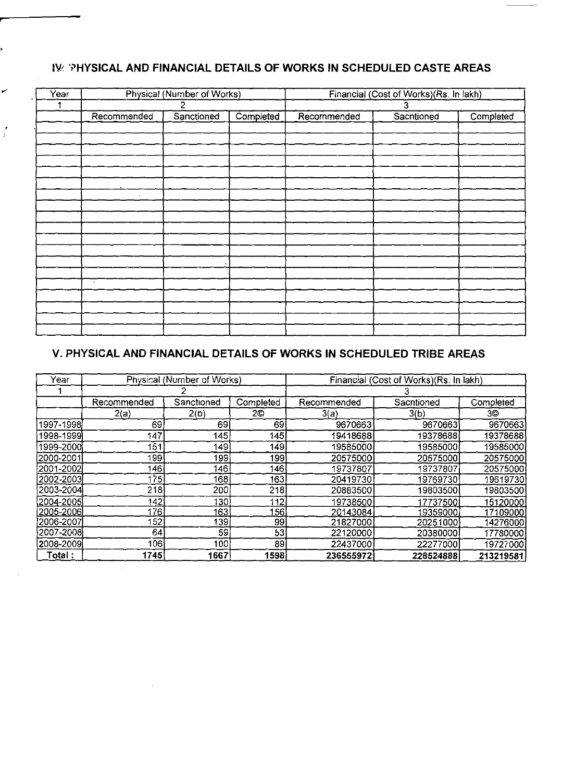## **IVE 'PHYSICAL AND FINANCIAL DETAILS OF WORKS IN SCHEDULED CASTE AREAS**

| Year |             | Physical (Number of Works) |           | Financial (Cost of Works)(Rs. In lakh) |            |           |  |
|------|-------------|----------------------------|-----------|----------------------------------------|------------|-----------|--|
|      |             |                            |           |                                        | 3          |           |  |
|      | Recommended | Sanctioned                 | Completed | Recommended                            | Sacntioned | Completed |  |
|      |             |                            |           |                                        |            |           |  |
|      |             |                            |           |                                        |            |           |  |
|      |             |                            |           |                                        |            |           |  |
|      |             |                            |           |                                        |            |           |  |
|      |             |                            |           |                                        |            |           |  |
|      |             |                            |           |                                        |            |           |  |
|      |             |                            |           |                                        |            |           |  |
|      |             |                            |           |                                        |            |           |  |
|      |             |                            |           |                                        |            |           |  |
|      |             |                            |           |                                        |            |           |  |
|      |             |                            |           |                                        |            |           |  |
|      |             |                            |           |                                        |            |           |  |
|      |             |                            |           |                                        |            |           |  |
|      |             |                            |           |                                        |            |           |  |
|      | $\sim$      |                            |           |                                        |            |           |  |
|      |             |                            |           |                                        |            |           |  |
|      |             |                            |           |                                        |            |           |  |
|      |             |                            |           |                                        |            |           |  |
|      |             |                            |           |                                        |            |           |  |

## **v. PHYSICAL AND FINANCIAL DETAILS OF WORKS IN SCHEDULED TRIBE AREAS**

| Year        |             | Physical (Number of Works) |           | Financial (Cost of Works)(Rs. In lakh) |            |           |  |
|-------------|-------------|----------------------------|-----------|----------------------------------------|------------|-----------|--|
|             |             |                            |           |                                        |            |           |  |
|             | Recommended | Sanctioned                 | Completed | Recommended                            | Sacntioned | Completed |  |
|             | 2(a)        | 2(b)                       | 2©        | 3(a)                                   | 3(b)       | 3O.       |  |
| 1997-1998   | 69.         | 69                         | 69        | 9670663                                | 9670663    | 9670663   |  |
| 1998-1999   | 147         | 145                        | 145       | 19418688                               | 19378688   | 19378688  |  |
| 1999-2000   | 151         | 149                        | 149       | 19585000                               | 19585000   | 19585000  |  |
| (2000-2001) | 199         | 199                        | 199       | 20575000                               | 20575000   | 20575000  |  |
| 2001-2002   | 1461        | 146                        | 146       | 19737807                               | 19737807   | 20575000  |  |
| 2002-2003   | 175         | 168                        | 163       | 20419730                               | 19769730   | 19619730  |  |
| 2003-2004   | 218         | 200                        | 218       | 20883500                               | 19803500   | 19803500  |  |
| 2004-2005   | 142         | 130                        | 112       | 19738500                               | 17737500   | 15120000  |  |
| 2005-2006   | 176.        | 163                        | 156       | 20143084                               | 19359000   | 17109000  |  |
| 2006-2007   | 52          | 139                        | 99        | 21827000                               | 20251000   | 14276000  |  |
| 2007-2008   | 64          | 59                         | 53        | 22120000                               | 20380000   | 17780000  |  |
| 2008-2009   | 106         | 100                        | 89        | 22437000                               | 22277000   | 19727000  |  |
| Total :     | 1745        | 1667                       | 1598      | 236555972                              | 228524888  | 213219581 |  |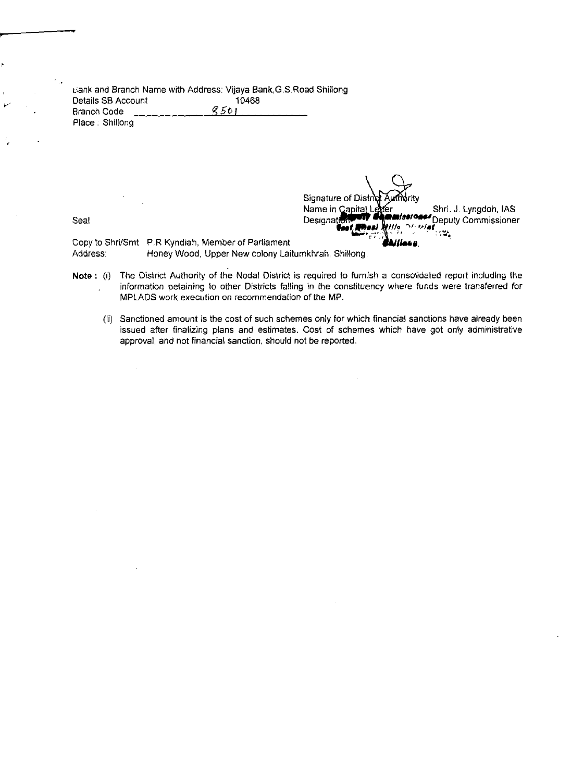l::ank and Branch Name with Address: Vijaya Bank,G.S.Road Shillong Details SB Account 10468 Branch Code Place. Shillong

Signature of Dis<br>Name in Capita  $\mathbb{C} \mathbb{X}^{m}$  , rity er J11~ Shri. J. Lyngdoh, IAS<br>Deputy Commissioner Seal DesIgn**atif!lllllllRl'** ./~.'-IDeputy Commissioner **.... ,. ,,,,., '-'4!!!!** '., ... , **, ....,**

 $\bar{\lambda}$ 

Copy to Shri/Smt P.R Kyndiah, Member of Parliament Address: Honey Wood, Upper New colony Laitumkhrah, Shillong.

- Note: (i) The District Authority of the Nodal District is required to furnish a consolidated report including the information petaining to other Districts falling in the constituency where funds were transferred for MPLADS work execution on recommendation of the MP.
	- (ii) Sanctioned amount is the cost of such schemes only for which financial sanctions have already been issued after finalizing plans and estimates. Cost of schemes which have got only administrative approval, and not financial sanction, should not be reported.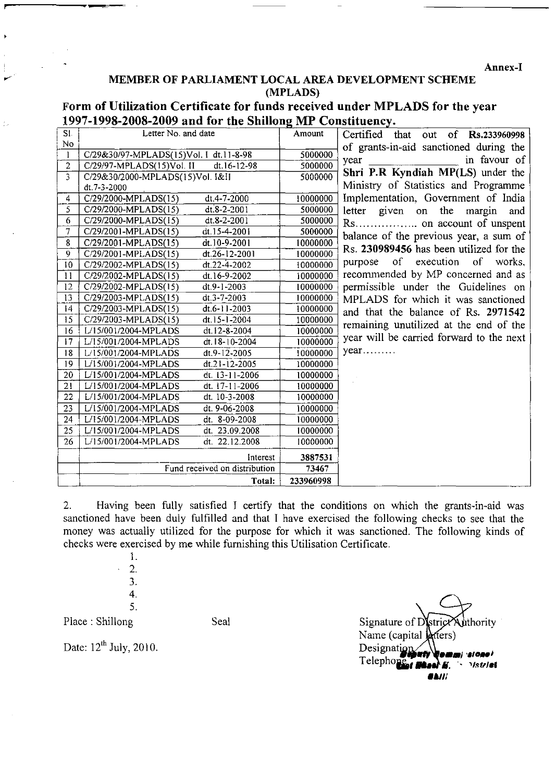**Annex-I** 

## **MEMBER OF PARLIAMENT LOCAL AREA DEVELOPMENT SCHEME (MPLADS)**

**Form of Utilization Certificate for funds received under MPLADS for the year**  1997-1998-2008-2009 and for the Shillong MP Constituency.

| SI.            | Letter No. and date                               | Amount    | Certified that out of Rs.233960998       |
|----------------|---------------------------------------------------|-----------|------------------------------------------|
| No             |                                                   |           | of grants-in-aid sanctioned during the   |
| 1              | C/29&30/97-MPLADS(15)Vol. I dt.11-8-98            | 5000000   | in favour of<br>year                     |
| $\overline{2}$ | $C/29/97$ -MPLADS(15)Vol. II<br>$dt.16 - 12 - 98$ | 5000000   |                                          |
| 3              | C/29&30/2000-MPLADS(15)Vol. 1&11                  | 5000000   | Shri P.R Kyndiah MP(LS) under the        |
|                | dt. 7-3-2000                                      |           | Ministry of Statistics and Programme     |
| $\overline{4}$ | $C/29/2000-MPLADS(15)$<br>dt.4-7-2000             | 10000000  | Implementation, Government of India      |
| 5.             | C/29/2000-MPLADS(15)<br>$dt.8 - 2 - 2001$         | 5000000   | letter given on the margin<br>and        |
| 6              | C/29/2000-MPLADS(15)<br>dt.8-2-2001               | 5000000   |                                          |
| 7              | C/29/2001-MPLADS(15)<br>dt.15-4-2001              | 5000000   | balance of the previous year, a sum of   |
| 8              | C/29/2001-MPLADS(15)<br>dt.10-9-2001              | 10000000  |                                          |
| 9              | C/29/2001-MPLADS(15)<br>dt.26-12-2001             | 10000000  | Rs. 230989456 has been utilized for the  |
| 10             | dt.22-4-2002<br>C/29/2002-MPLADS(15)              | 10000000  | of execution of works,<br>purpose        |
| 11             | C/29/2002-MPLADS(15)<br>dt.16-9-2002              | 10000000  | recommended by MP concerned and as       |
| 12             | C/29/2002-MPLADS(15)<br>dt.9-1-2003               | 10000000  | permissible under the Guidelines on      |
| 13             | C/29/2003-MPLADS(15)<br>$dt$ . 3-7-2003           | 10000000  | MPLADS for which it was sanctioned       |
| 14             | C/29/2003-MPLADS(15)<br>$dt.6-11-2003$            | 10000000  | and that the balance of Rs. 2971542      |
| 15             | C/29/2003-MPLADS(15)<br>dt.15-1-2004              | 10000000  | remaining unutilized at the end of the   |
| 16             | L/15/001/2004-MPLADS<br>dt.12-8-2004              | 10000000  |                                          |
| 17             | L/15/001/2004-MPLADS<br>dt. 18-10-2004            | 10000000  | year will be carried forward to the next |
| 18             | $dt.9 - 12 - 2005$<br>L/15/001/2004-MPLADS        | 10000000  | year                                     |
| 19             | L/15/001/2004-MPLADS<br>dt.21-12-2005             | 10000000  |                                          |
| 20             | L/15/001/2004-MPLADS<br>dt. 13-11-2006            | 10000000  |                                          |
| 21             | L/15/001/2004-MPLADS<br>dt. 17-11-2006            | 10000000  |                                          |
| 22             | L/15/001/2004-MPLADS<br>dt. 10-3-2008             | 10000000  |                                          |
| 23             | L/15/001/2004-MPLADS<br>dt. 9-06-2008             | 10000000  |                                          |
| 24             | L/15/001/2004-MPLADS<br>dt. 8-09-2008             | 10000000  |                                          |
| 25             | L/15/001/2004-MPLADS<br>dt. 23.09.2008            | 10000000  |                                          |
| 26             | dt. 22.12.2008<br>L/15/001/2004-MPLADS            | 10000000  |                                          |
|                | Interest                                          | 3887531   |                                          |
|                | Fund received on distribution                     | 73467     |                                          |
|                | Total:                                            | 233960998 |                                          |

2. Having been fully satisfied I certify that the conditions on which the grants-in-aid was sanctioned have been duly fulfilled and that I have exercised the following checks to see that the money was actually utilized for the purpose for which it was sanctioned. The following kinds of checks were exercised by me while furnishing this Utilisation Certificate.

> 1. 2. 1 J. 4. 5.

Place: Shillong Seal Seal Signature of District Authority Name (capital **k** rtters) Date:  $12^{\text{th}}$  July, 2010. Telephone **I Black E**. *` Vstriet .Alli*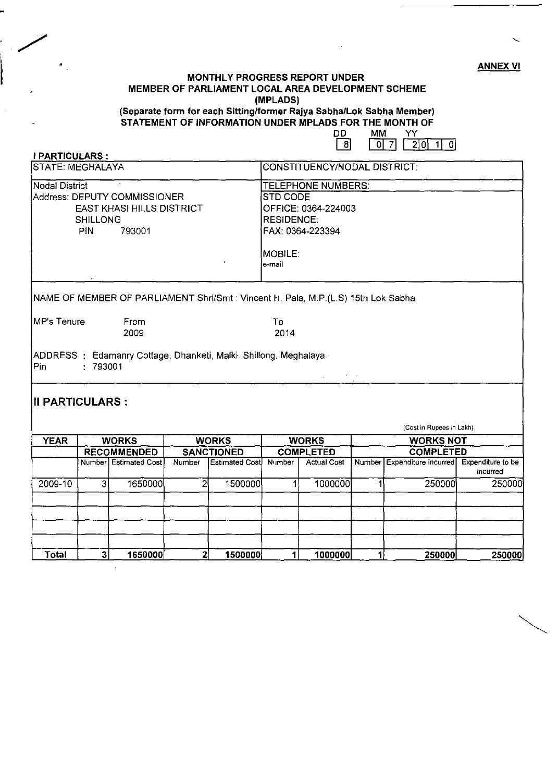ANNEX VI

## MONTHLY PROGRESS REPORT UNDER MEMBER OF PARLIAMENT LOCAL AREA DEVELOPMENT SCHEME (MPLADS)

(Separate form for each Sitting/former Rajya Sabha/Lok Sabha Member) STATEMENT OF INFORMATION UNDER MPLADS FOR THE MONTH OF

I PARTICULARS :

0D MM YY<br>[8] <u>017 210 110</u>

| STATE: MEGHALAYA            |                               |                                                                                   |                |                       | <b>CONSTITUENCY/NODAL DISTRICT:</b>                                                                                               |                               |              |                                               |          |  |
|-----------------------------|-------------------------------|-----------------------------------------------------------------------------------|----------------|-----------------------|-----------------------------------------------------------------------------------------------------------------------------------|-------------------------------|--------------|-----------------------------------------------|----------|--|
| Nodal District              | <b>SHILLONG</b><br><b>PIN</b> | Address: DEPUTY COMMISSIONER<br><b>EAST KHASI HILLS DISTRICT</b><br>793001        |                |                       | TELEPHONE NUMBERS:<br><b>STD CODE</b><br>OFFICE: 0364-224003<br><b>RESIDENCE:</b><br>FAX: 0364-223394<br><b>MOBILE:</b><br>e-mail |                               |              |                                               |          |  |
|                             |                               | NAME OF MEMBER OF PARLIAMENT Shri/Smt : Vincent H. Pala, M.P.(L.S) 15th Lok Sabha |                |                       |                                                                                                                                   |                               |              |                                               |          |  |
| MP's Tenure<br>From<br>2009 |                               |                                                                                   |                |                       | To<br>2014                                                                                                                        |                               |              |                                               |          |  |
| Pin                         | .793001                       | ADDRESS: Edamanry Cottage, Dhanketi, Malki. Shillong. Meghalaya.                  |                |                       |                                                                                                                                   | $\Delta \sim 10^{11}$ MeV and |              |                                               |          |  |
| <b>III PARTICULARS :</b>    |                               |                                                                                   |                |                       |                                                                                                                                   |                               |              | (Cost in Rupees in Lakh)                      |          |  |
| <b>YEAR</b>                 |                               | <b>WORKS</b>                                                                      |                | <b>WORKS</b>          |                                                                                                                                   | <b>WORKS</b>                  |              | <b>WORKS NOT</b>                              |          |  |
|                             |                               | <b>RECOMMENDED</b>                                                                |                | <b>SANCTIONED</b>     |                                                                                                                                   | <b>COMPLETED</b>              |              | <b>COMPLETED</b>                              |          |  |
|                             |                               | Number Estimated Cost                                                             | Number         | <b>Estimated Cost</b> | Number<br><b>Actual Cost</b>                                                                                                      |                               |              | Number Expenditure incurred Expenditure to be | incurred |  |
| 2009-10                     | 31                            | 1650000                                                                           | $\overline{2}$ | 1500000               | 1                                                                                                                                 | 1000000                       | 1            | 250000                                        | 250000   |  |
|                             |                               |                                                                                   |                |                       |                                                                                                                                   |                               |              |                                               |          |  |
| <b>Total</b>                | 3 <sup>1</sup>                | 1650000                                                                           | $\mathbf{2}$   | 1500000               | $\mathbf{1}$                                                                                                                      | 1000000                       | $\mathbf{1}$ | 250000                                        | 250000   |  |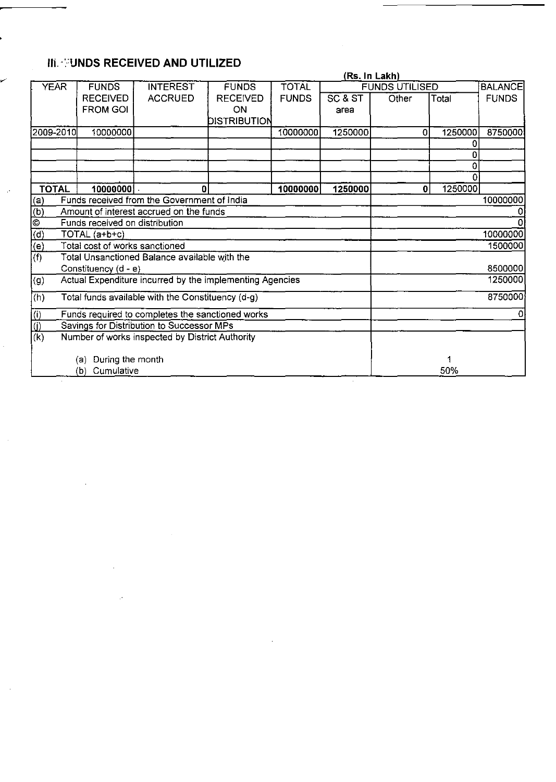# IIi. -:'UNDS **RECEIVED AND UTILIZED**

 $\mathcal{P}$ 

 $\ddot{\phantom{a}}$ 

 $\mathcal{L}^{\text{max}}_{\text{max}}$  , where  $\mathcal{L}^{\text{max}}_{\text{max}}$ 

 $\sim$   $\omega$ 

|                                                 |                                |                                                          |                 |              | (Rs. In Lakh) |                       |         |                |
|-------------------------------------------------|--------------------------------|----------------------------------------------------------|-----------------|--------------|---------------|-----------------------|---------|----------------|
| <b>YEAR</b>                                     | <b>FUNDS</b>                   | <b>INTEREST</b>                                          | <b>FUNDS</b>    | <b>TOTAL</b> |               | <b>FUNDS UTILISED</b> |         | <b>BALANCE</b> |
|                                                 | <b>RECEIVED</b>                | <b>ACCRUED</b>                                           | <b>RECEIVED</b> | <b>FUNDS</b> | SC & ST       | Other                 | Total   | <b>FUNDS</b>   |
|                                                 | <b>FROM GOI</b>                |                                                          | ON.             |              | area          |                       |         |                |
|                                                 |                                |                                                          | DISTRIBUTION    |              |               |                       |         |                |
| 2009-2010                                       | 10000000                       |                                                          |                 | 10000000     | 1250000       | 0                     | 1250000 | 8750000        |
|                                                 |                                |                                                          |                 |              |               |                       | 0       |                |
|                                                 |                                |                                                          |                 |              |               |                       | ٥       |                |
|                                                 |                                |                                                          |                 |              |               |                       | 0       |                |
|                                                 |                                |                                                          |                 |              |               |                       |         |                |
| <b>TOTAL</b>                                    | 10000000 }                     | 0                                                        |                 | 10000000     | 1250000       | 0                     | 1250000 |                |
| (a)                                             |                                | Funds received from the Government of India              |                 |              |               |                       |         | 10000000       |
| $\frac{\overline{6}}{6}$                        |                                | Amount of interest accrued on the funds                  |                 |              |               |                       |         |                |
|                                                 | Funds received on distribution |                                                          |                 |              |               |                       |         |                |
| $\overline{d)}$                                 | TOTAL (a+b+c)                  |                                                          |                 |              |               |                       |         | 10000000       |
| $\overline{(\mathsf{e})}$                       | Total cost of works sanctioned |                                                          |                 |              |               |                       |         | 1500000        |
| (f)                                             |                                | Total Unsanctioned Balance available with the            |                 |              |               |                       |         |                |
|                                                 | Constituency (d - e)           |                                                          |                 |              |               |                       |         | 8500000        |
| (g)                                             |                                | Actual Expenditure incurred by the implementing Agencies |                 |              |               |                       |         | 1250000        |
| (h)                                             |                                | Total funds available with the Constituency (d-g)        |                 |              |               |                       |         | 8750000        |
| (i)                                             |                                | Funds required to completes the sanctioned works         |                 |              |               |                       |         | 0              |
| ΰĴ<br>Savings for Distribution to Successor MPs |                                |                                                          |                 |              |               |                       |         |                |
| $\overline{(\mathsf{k})}$                       |                                | Number of works inspected by District Authority          |                 |              |               |                       |         |                |
|                                                 | (a) During the month           |                                                          |                 |              |               |                       |         |                |
|                                                 | Cumulative<br>(b)              |                                                          |                 |              |               |                       | 50%     |                |
|                                                 |                                |                                                          |                 |              |               |                       |         |                |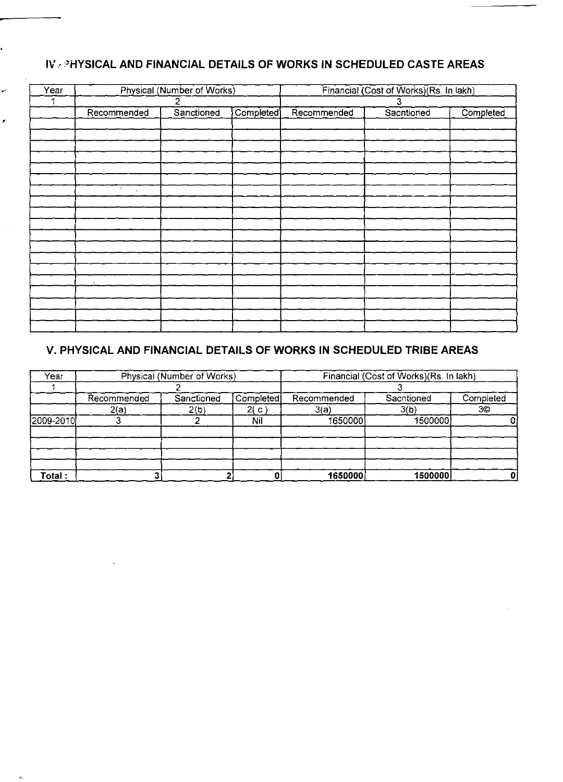# **IV, "HYSICAL AND FINANCIAL DETAILS OF WORKS IN SCHEDULED CASTE AREAS**

| Year |                      | Physical (Number of Works) |           | Financial (Cost of Works)(Rs. In lakh) |            |           |
|------|----------------------|----------------------------|-----------|----------------------------------------|------------|-----------|
|      | $\overline{c}$       |                            |           | 3                                      |            |           |
|      | Recommended          | Sanctioned                 | Completed | Recommended                            | Sacntioned | Completed |
|      |                      |                            |           |                                        |            |           |
|      |                      |                            |           |                                        |            |           |
|      |                      |                            |           |                                        |            |           |
|      |                      |                            |           |                                        |            |           |
|      |                      |                            |           |                                        |            |           |
|      |                      |                            |           |                                        |            |           |
|      | $\bullet$<br>$\cdot$ |                            |           |                                        |            |           |
|      |                      |                            |           |                                        |            |           |
|      |                      |                            |           |                                        |            |           |
|      |                      |                            |           |                                        |            |           |
|      |                      |                            |           |                                        |            |           |
|      |                      |                            |           |                                        |            |           |
|      |                      |                            |           |                                        |            |           |
|      |                      |                            |           |                                        |            |           |
|      | ٠                    |                            |           |                                        |            |           |
|      |                      |                            |           |                                        |            |           |
|      |                      |                            |           |                                        |            |           |
|      |                      |                            |           |                                        |            |           |
|      |                      |                            |           |                                        |            |           |

## **v. PHYSICAL AND FINANCIAL DETAILS OF WORKS IN SCHEDULED TRIBE AREAS**

| Year      | Physical (Number of Works) |            |           | Financial (Cost of Works)(Rs. In lakh) |            |           |  |
|-----------|----------------------------|------------|-----------|----------------------------------------|------------|-----------|--|
|           |                            |            |           |                                        |            |           |  |
|           | Recommended                | Sanctioned | Completed | Recommended                            | Sachtioned | Completed |  |
|           | 2(a)                       | 2(b)       | 2( c )    | 3(a)                                   | 3(b)       | 3©        |  |
| 2009-2010 |                            |            | Nil       | 1650000                                | 1500000    |           |  |
|           |                            |            |           |                                        |            |           |  |
| Total:    |                            |            |           | 1650000                                | 1500000    |           |  |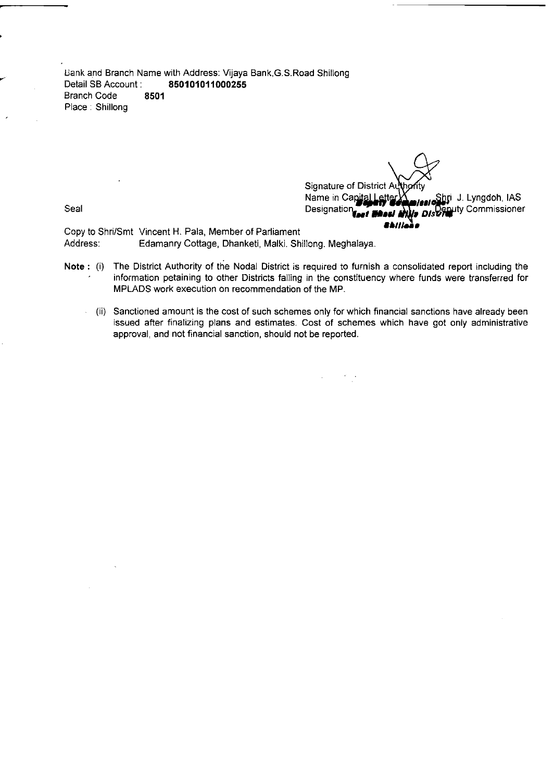l.lank and Branch Name with Address: Vijaya Bank,G.S.Road Shillong Detail SB Account: **850101011000255 Branch Code** Place: Shillong

Name in Canital Letter X<br>Designation **For The Hills District** Commissioner Seal Designati0n,.., *\_.11* DI/~~ty Commissioner **Signature of District** 

**..",...** Copy to Shri/Smt Vincent H. Pala, Member of Parliament Address: Edamanry Cottage, Dhanketi, Malki. Shillong. Meghalaya.

- Note: (i) The District Authority of the Nodal District is required to furnish a consolidated report including the information petaining to other Districts falling in the constituency where funds were transferred for MPLADS work execution on recommendation of the MP.
	- (ii) Sanctioned amount is the cost of such schemes only for which financial sanctions have already been issued after finalizing plans and estimates. Cost of schemes which have got only administrative approval, and not financial sanction, should not be reported.